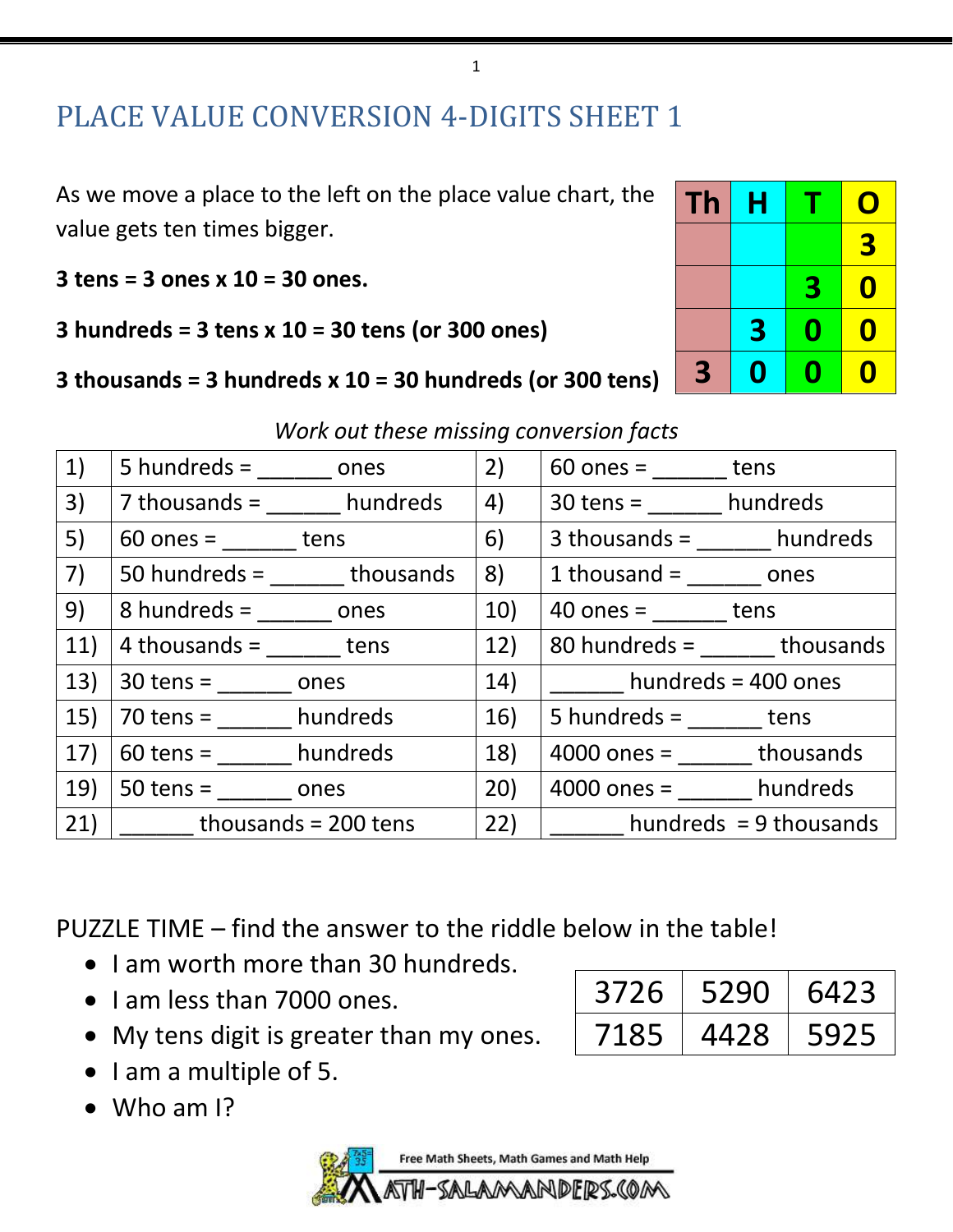## PLACE VALUE CONVERSION 4-DIGITS SHEET 1

As we move a place to the left on the place value chart, the value gets ten times bigger.

**3 tens = 3 ones x 10 = 30 ones.** 

**3 hundreds = 3 tens x 10 = 30 tens (or 300 ones)**

### **3 thousands = 3 hundreds x 10 = 30 hundreds (or 300 tens)**

| Th | Η |             | O                |
|----|---|-------------|------------------|
|    |   |             | 3                |
|    |   | 3           | 0                |
|    | 3 | $\mathbf 0$ | 0                |
| 3  | 0 | H           | $\boldsymbol{0}$ |

| 1)  | $5$ hundreds = $\qquad$ ones | 2)  | $60$ ones =<br>tens          |
|-----|------------------------------|-----|------------------------------|
| 3)  | $7$ thousands = $h$ undreds  | 4)  | $30 \text{ tens} =$ hundreds |
| 5)  | $60$ ones = $\qquad$ tens    | 6)  | $3$ thousands = $h$ undreds  |
| 7)  | $50$ hundreds = thousands    | 8)  | $1$ thousand = $\qquad$ ones |
| 9)  | $8$ hundreds = $\qquad$ ones | 10) | $40$ ones = _______ tens     |
| 11) | $4$ thousands = tens         | 12) | $80$ hundreds = thousands    |
| 13) | $30$ tens =<br>ones          | 14) | hundreds = 400 ones          |
| 15) | $70$ tens = hundreds         | 16) | $5$ hundreds = $\qquad$ tens |
| 17) | $60$ tens = hundreds         | 18) | $4000$ ones = thousands      |
| 19) | $50$ tens =<br>ones          | 20) | $4000$ ones = hundreds       |
| 21) | thousands = $200$ tens       | 22) | hundreds $= 9$ thousands     |
|     |                              |     |                              |

*Work out these missing conversion facts*

PUZZLE TIME – find the answer to the riddle below in the table!

- I am worth more than 30 hundreds.
- I am less than 7000 ones.

| 3726 | 5290 | 6423 |
|------|------|------|
| 7185 | 4428 | 5925 |

- My tens digit is greater than my ones.
- I am a multiple of 5.
- Who am I?

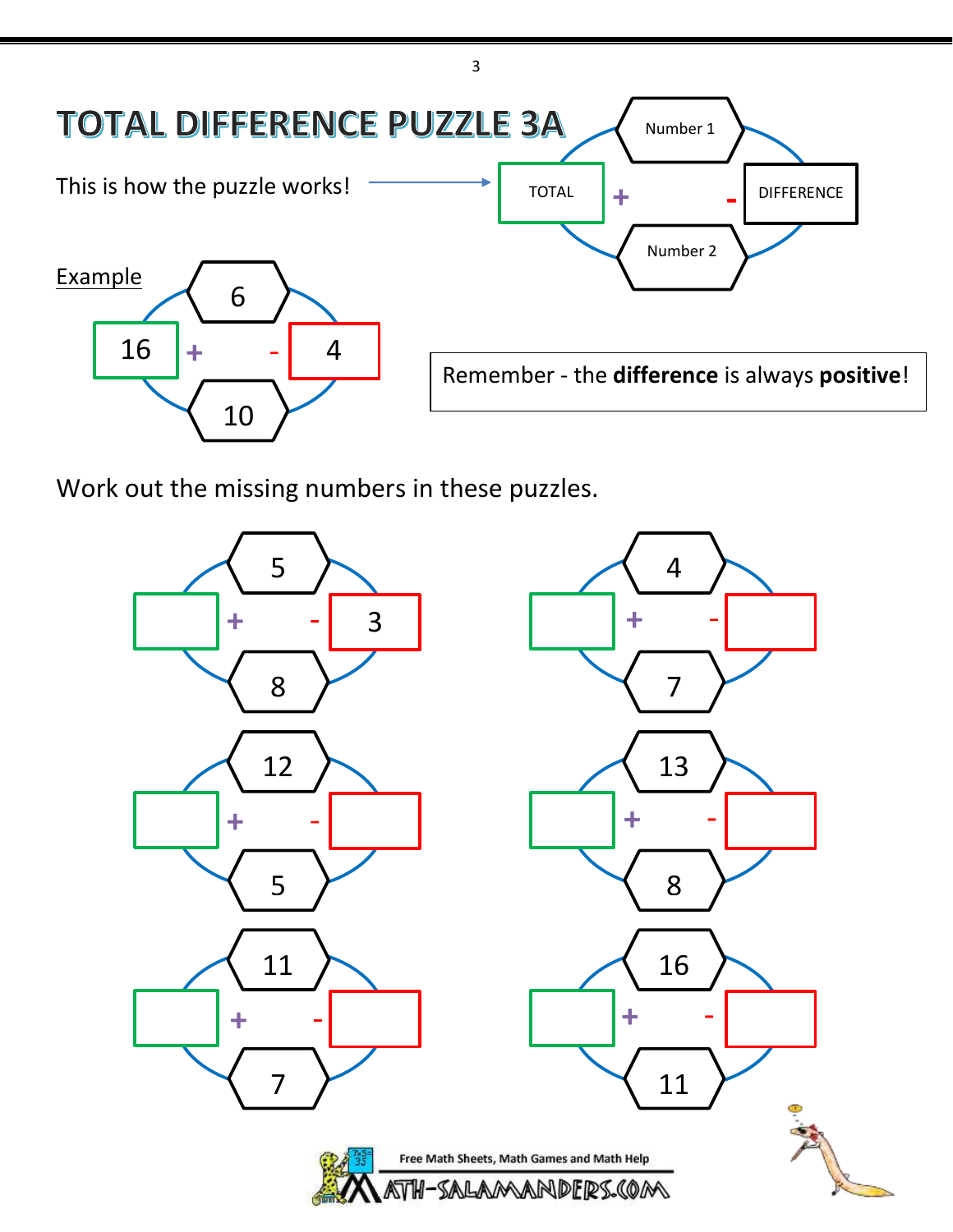

Work out the missing numbers in these puzzles.

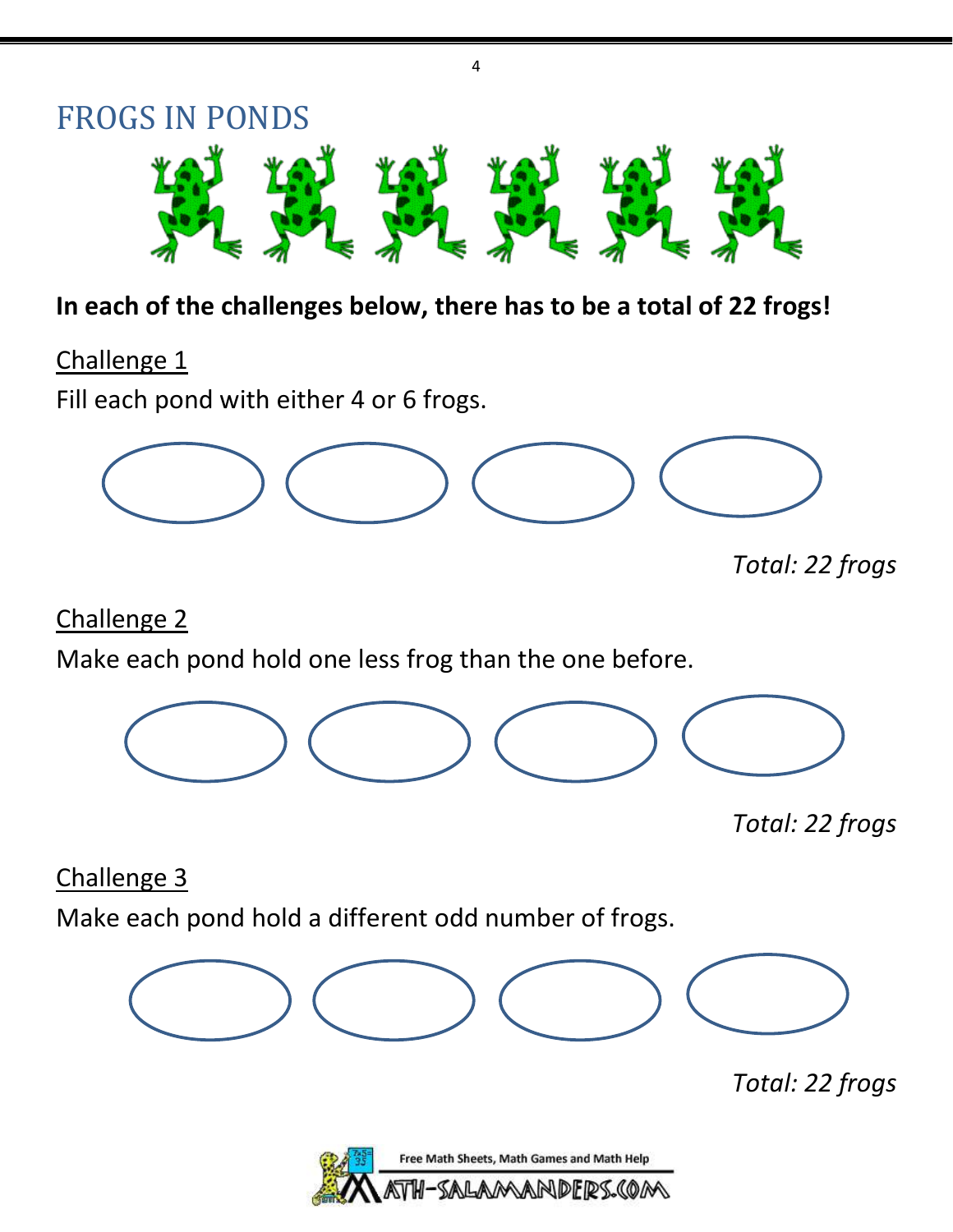

4

### **In each of the challenges below, there has to be a total of 22 frogs!**

Challenge 1

Fill each pond with either 4 or 6 frogs.



*Total: 22 frogs*

Challenge 2

Make each pond hold one less frog than the one before.



*Total: 22 frogs*

Challenge 3

Make each pond hold a different odd number of frogs.



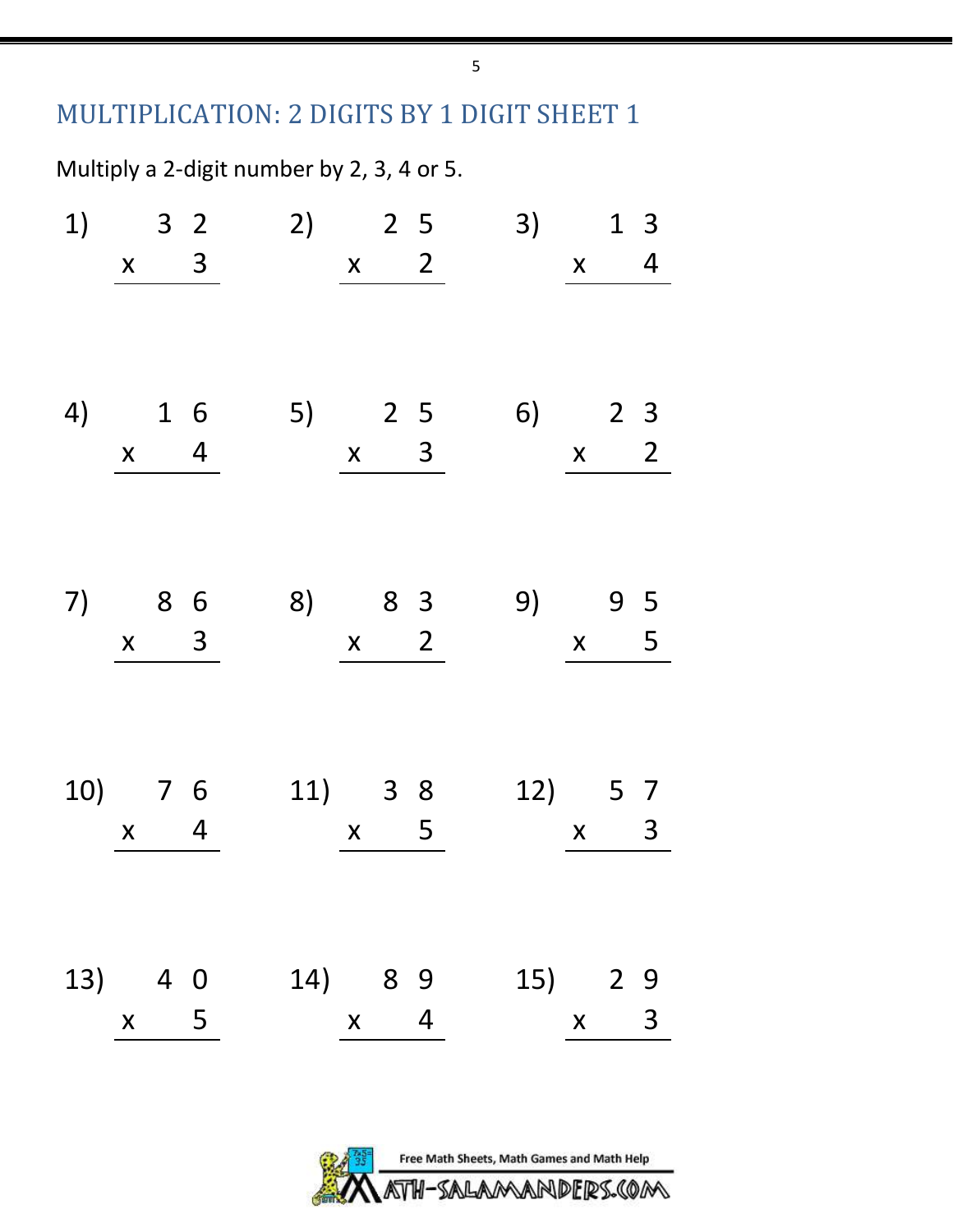### MULTIPLICATION: 2 DIGITS BY 1 DIGIT SHEET 1

Multiply a 2-digit number by 2, 3, 4 or 5.

|         |             |                  | $x \quad 3$ |         |         | $x \t 2$    |                  |          | $1)$ 3 2 2) 2 5 | 3)      |                           | $\boldsymbol{X}$ | 1 <sup>3</sup><br>4 |
|---------|-------------|------------------|-------------|---------|---------|-------------|------------------|----------|-----------------|---------|---------------------------|------------------|---------------------|
|         |             |                  |             |         |         |             |                  |          |                 |         |                           |                  |                     |
| 4) 1 6  |             |                  |             |         |         |             |                  |          | 5) 2 5 6) 2 3   |         |                           |                  |                     |
|         | $x \quad 4$ |                  |             |         |         | $x \quad 3$ |                  |          |                 |         | $\boldsymbol{\mathsf{X}}$ |                  | $\overline{2}$      |
| 7) 8 6  |             |                  | $x \quad 3$ |         | 8) 8 3  |             |                  | $x \t 2$ |                 | 9)      | $\boldsymbol{\mathsf{X}}$ |                  | 9 5<br>5            |
|         |             | $x \quad 4$      |             | 10) 7 6 | 11) 3 8 |             | $\boldsymbol{X}$ | 5        |                 | 12) 5 7 |                           | $\boldsymbol{X}$ | $\mathsf{3}$        |
| 13) 4 0 |             |                  |             |         | 14) 8 9 |             |                  |          |                 | 15) 2 9 |                           |                  |                     |
|         |             | $\boldsymbol{X}$ | $-5$        |         |         |             | $x \quad 4$      |          |                 |         | $\boldsymbol{X}$          |                  | 3                   |



5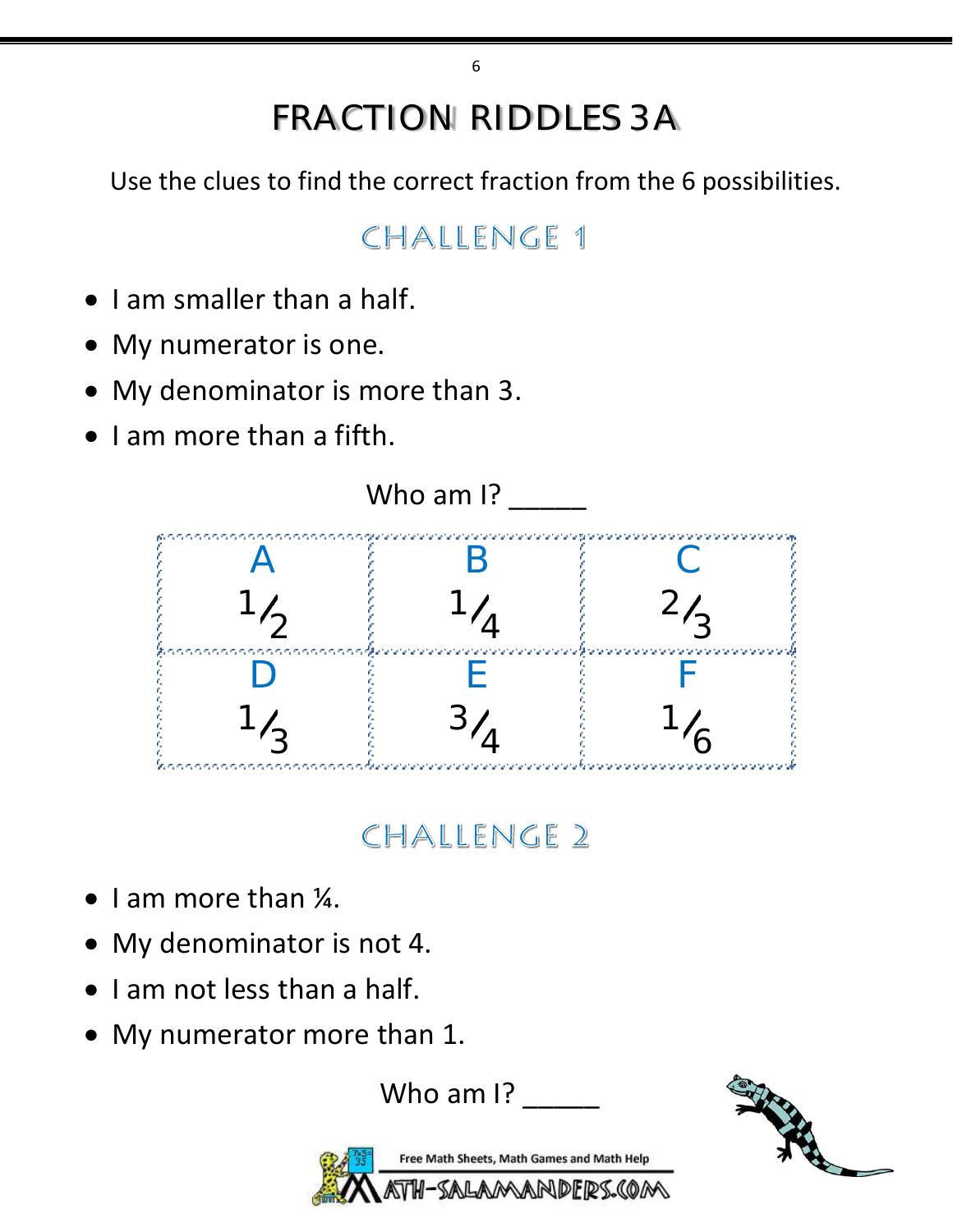# FRACTION RIDDLES 3A

Use the clues to find the correct fraction from the 6 possibilities.

# CHALLENGE 1

- I am smaller than a half.
- My numerator is one.
- My denominator is more than 3.
- I am more than a fifth.



# CHALLENGE 2

- I am more than ¼.
- My denominator is not 4.
- I am not less than a half.
- My numerator more than 1.

Who am I?



Free Math Sheets, Math Games and Math Help AMANDERS.COM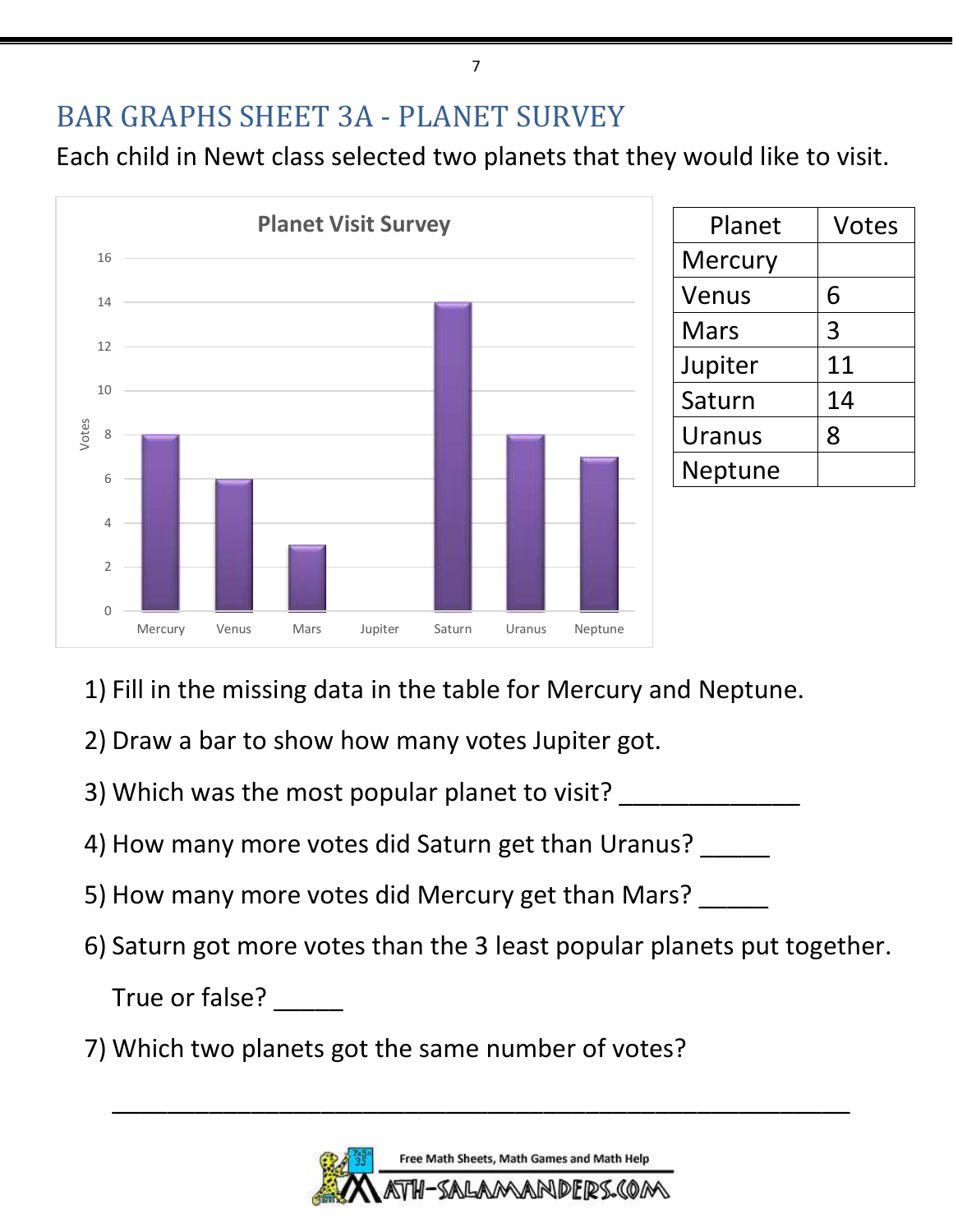## BAR GRAPHS SHEET 3A - PLANET SURVEY

Each child in Newt class selected two planets that they would like to visit.



| Planet  | <b>Votes</b> |
|---------|--------------|
| Mercury |              |
| Venus   | 6            |
| Mars    | 3            |
| Jupiter | 11           |
| Saturn  | 14           |
| Uranus  | 8            |
| Neptune |              |

- 1) Fill in the missing data in the table for Mercury and Neptune.
- 2) Draw a bar to show how many votes Jupiter got.
- 3) Which was the most popular planet to visit?
- 4) How many more votes did Saturn get than Uranus?
- 5) How many more votes did Mercury get than Mars?
- 6) Saturn got more votes than the 3 least popular planets put together.

True or false?

7) Which two planets got the same number of votes?



\_\_\_\_\_\_\_\_\_\_\_\_\_\_\_\_\_\_\_\_\_\_\_\_\_\_\_\_\_\_\_\_\_\_\_\_\_\_\_\_\_\_\_\_\_\_\_\_\_\_\_\_\_

7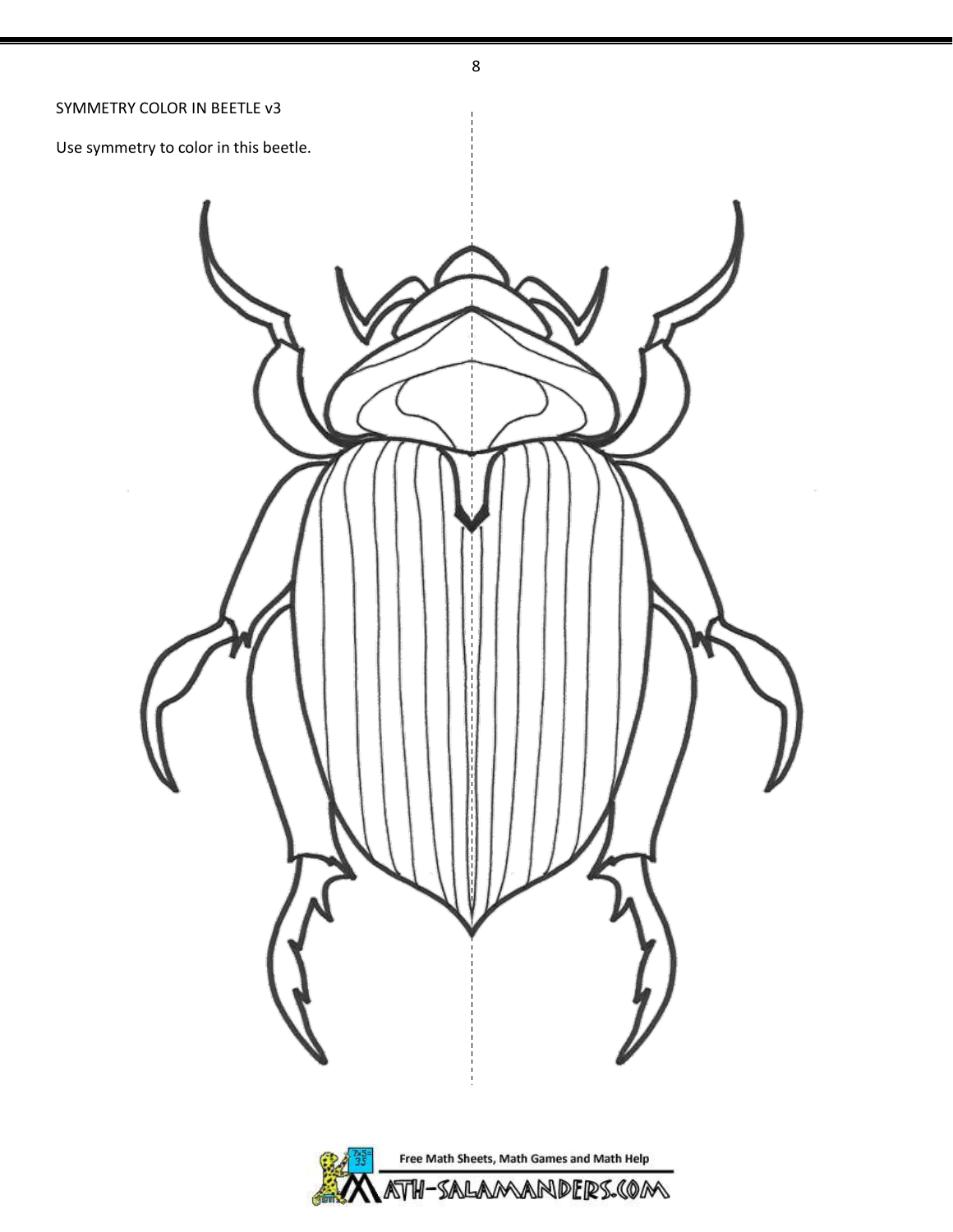# 8 SYMMETRY COLOR IN BEETLE v3 Use symmetry to color in this beetle.